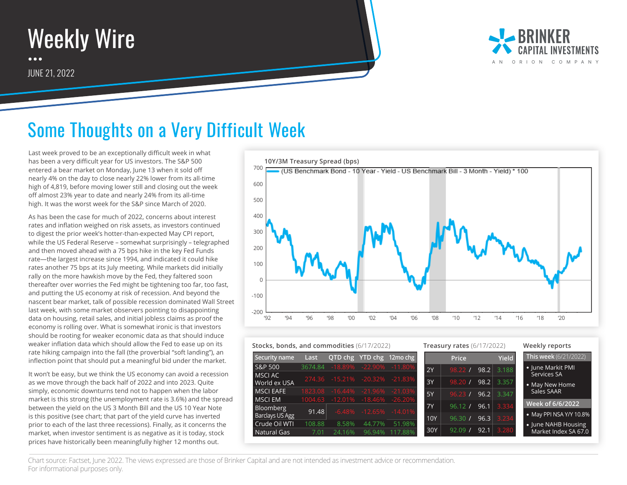



## Some Thoughts on a Very Difficult Week

Last week proved to be an exceptionally difficult week in what has been a very difficult year for US investors. The S&P 500 entered a bear market on Monday, June 13 when it sold off nearly 4% on the day to close nearly 22% lower from its all-time high of 4,819, before moving lower still and closing out the week off almost 23% year to date and nearly 24% from its all-time high. It was the worst week for the S&P since March of 2020.

As has been the case for much of 2022, concerns about interest rates and inflation weighed on risk assets, as investors continued to digest the prior week's hotter-than-expected May CPI report, while the US Federal Reserve – somewhat surprisingly – telegraphed and then moved ahead with a 75 bps hike in the key Fed Funds rate—the largest increase since 1994, and indicated it could hike rates another 75 bps at its July meeting. While markets did initially rally on the more hawkish move by the Fed, they faltered soon thereafter over worries the Fed might be tightening too far, too fast, and putting the US economy at risk of recession. And beyond the nascent bear market, talk of possible recession dominated Wall Street last week, with some market observers pointing to disappointing data on housing, retail sales, and initial jobless claims as proof the economy is rolling over. What is somewhat ironic is that investors should be rooting for weaker economic data as that should induce weaker inflation data which should allow the Fed to ease up on its rate hiking campaign into the fall (the proverbial "soft landing"), an inflection point that should put a meaningful bid under the market.

It won't be easy, but we think the US economy can avoid a recession as we move through the back half of 2022 and into 2023. Quite simply, economic downturns tend not to happen when the labor market is this strong (the unemployment rate is 3.6%) and the spread between the yield on the US 3 Month Bill and the US 10 Year Note is this positive (see chart; that part of the yield curve has inverted prior to each of the last three recessions). Finally, as it concerns the market, when investor sentiment is as negative as it is today, stock prices have historically been meaningfully higher 12 months out.



|--|

| Security name                | Last    |        |                                  | QTD chg YTD chg 12mo chg       |           | Price              |      | <b>Yield</b> | This week (6/21/2022)         |
|------------------------------|---------|--------|----------------------------------|--------------------------------|-----------|--------------------|------|--------------|-------------------------------|
| S&P 500                      | 3674.84 |        | $-18.89\% -22.90\% -11.80\%$     |                                | 2Y        | 98.22 <sub>1</sub> | 98.2 | 3.188        | • June Markit PMI             |
| MSCI AC<br>World ex USA      |         |        |                                  | 274.36 -15.21% -20.32% -21.83% | 3Y        | 98.20 /            | 98.2 | 3.357        | Services SA<br>• May New Home |
| <b>MSCI EAFE</b>             | 1823.08 |        | $-16.44\%$ $-21.96\%$ $-21.03\%$ |                                | 5Y        | 96.23 /            | 96.2 | 3.347        | Sales SAAR                    |
| <b>MSCI EM</b>               | 1004.63 |        |                                  | $-12.01\% -18.46\% -26.20\%$   | <b>7Y</b> | 96.12 <sub>1</sub> | 96.1 | 3.334        | Week of 6/6/2022              |
| Bloomberg<br>Barclays US Agg | 91.48   |        |                                  | $-6.48\% -12.65\% -14.01\%$    | 10Y       | 96.30              | 96.3 | 3.234        | • May PPI NSA Y/Y 10.8%       |
| Crude Oil WTI                | 108.88  | 8.58%  | 44.77%                           | 51.98%                         |           |                    |      |              | • June NAHB Housing           |
| Natural Gas                  | 7.01    | 24.16% | 96.94%                           | 117.88%                        | 30Y       | 92.09              | 92.1 | 3.280        | Market Index SA 67.0          |

**Stocks, bonds, and commodities** (6/17/2022) **Treasury rates** (6/17/2022) **Weekly reports**

Chart source: Factset, June 2022. The views expressed are those of Brinker Capital and are not intended as investment advice or recommendation. For informational purposes only.